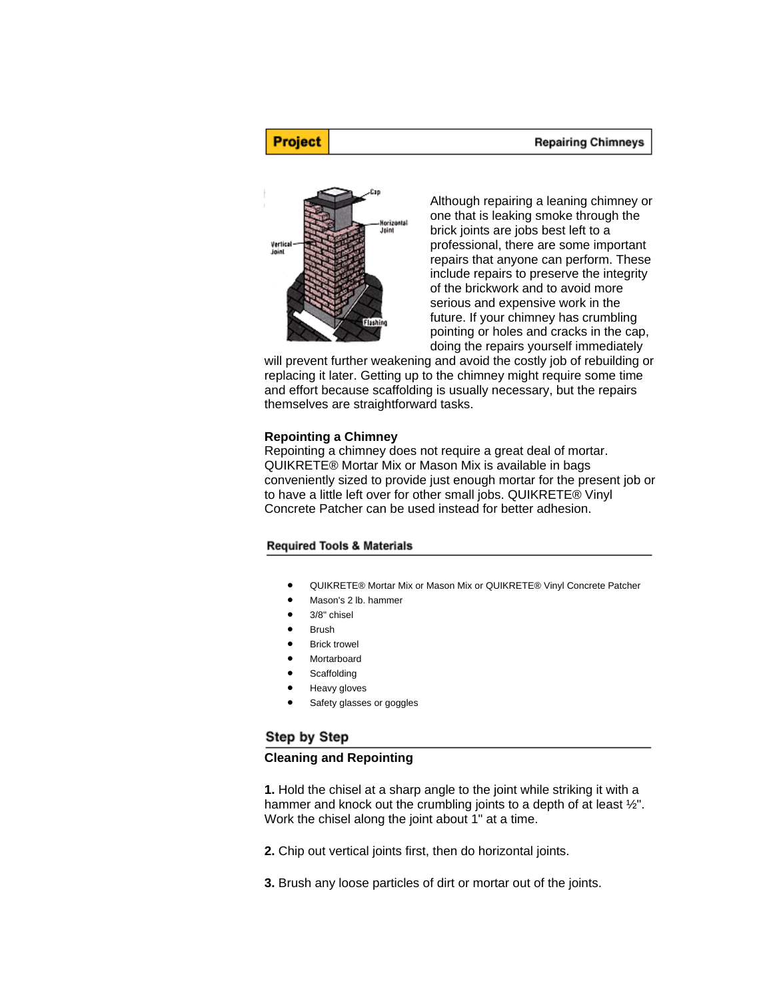#### **Repairing Chimneys**



**Project** 

Although repairing a leaning chimney or one that is leaking smoke through the brick joints are jobs best left to a professional, there are some important repairs that anyone can perform. These include repairs to preserve the integrity of the brickwork and to avoid more serious and expensive work in the future. If your chimney has crumbling pointing or holes and cracks in the cap, doing the repairs yourself immediately

will prevent further weakening and avoid the costly job of rebuilding or replacing it later. Getting up to the chimney might require some time and effort because scaffolding is usually necessary, but the repairs themselves are straightforward tasks.

#### **Repointing a Chimney**

Repointing a chimney does not require a great deal of mortar. QUIKRETE® Mortar Mix or Mason Mix is available in bags conveniently sized to provide just enough mortar for the present job or to have a little left over for other small jobs. QUIKRETE® Vinyl Concrete Patcher can be used instead for better adhesion.

#### **Required Tools & Materials**

- QUIKRETE® Mortar Mix or Mason Mix or QUIKRETE® Vinyl Concrete Patcher
- Mason's 2 lb. hammer
- 3/8" chisel
- **Brush**
- **Brick trowel**
- **Mortarboard**
- **Scaffolding**
- Heavy gloves
- Safety glasses or goggles

## Step by Step

### **Cleaning and Repointing**

**1.** Hold the chisel at a sharp angle to the joint while striking it with a hammer and knock out the crumbling joints to a depth of at least  $\frac{1}{2}$ ". Work the chisel along the joint about 1" at a time.

**2.** Chip out vertical joints first, then do horizontal joints.

**3.** Brush any loose particles of dirt or mortar out of the joints.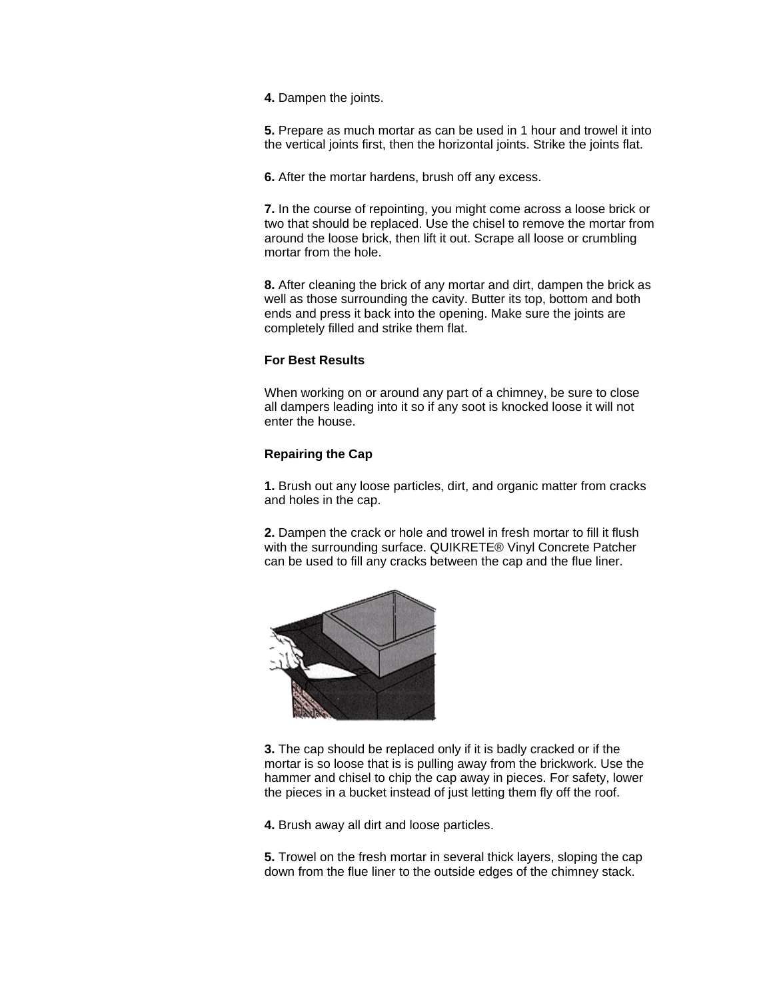**4.** Dampen the joints.

**5.** Prepare as much mortar as can be used in 1 hour and trowel it into the vertical joints first, then the horizontal joints. Strike the joints flat.

**6.** After the mortar hardens, brush off any excess.

**7.** In the course of repointing, you might come across a loose brick or two that should be replaced. Use the chisel to remove the mortar from around the loose brick, then lift it out. Scrape all loose or crumbling mortar from the hole.

**8.** After cleaning the brick of any mortar and dirt, dampen the brick as well as those surrounding the cavity. Butter its top, bottom and both ends and press it back into the opening. Make sure the joints are completely filled and strike them flat.

## **For Best Results**

When working on or around any part of a chimney, be sure to close all dampers leading into it so if any soot is knocked loose it will not enter the house.

## **Repairing the Cap**

**1.** Brush out any loose particles, dirt, and organic matter from cracks and holes in the cap.

**2.** Dampen the crack or hole and trowel in fresh mortar to fill it flush with the surrounding surface. QUIKRETE® Vinyl Concrete Patcher can be used to fill any cracks between the cap and the flue liner.



**3.** The cap should be replaced only if it is badly cracked or if the mortar is so loose that is is pulling away from the brickwork. Use the hammer and chisel to chip the cap away in pieces. For safety, lower the pieces in a bucket instead of just letting them fly off the roof.

**4.** Brush away all dirt and loose particles.

**5.** Trowel on the fresh mortar in several thick layers, sloping the cap down from the flue liner to the outside edges of the chimney stack.